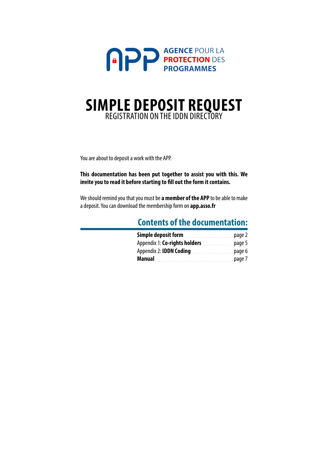

# **SIMPLE DEPOSIT REQUEST** REGISTRATION ON THE IDDN DIRECTORY

You are about to deposit a work with the APP.

**This documentation has been put together to assist you with this. We invite you to read it before starting to fill out the form it contains.**

We should remind you that you must be **a member of the APP** to be able to make a deposit. You can download the membership form on **app.asso.fr**

## **Contents of the documentation: Simple deposit form** 2000 measures and [page 2](#page-1-0) Appendix 1: **Co-rights holders [page 5](#page-4-0)** Appendix 2: **IDDN Coding [page 6](#page-5-0) Manual** [page 7](#page-6-0)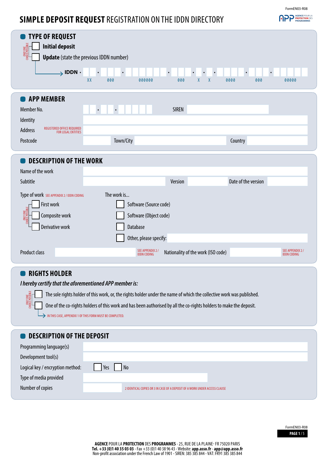## <span id="page-1-0"></span>**SIMPLE DEPOSIT REQUEST** REGISTRATION ON THE IDDN DIRECTORY

| <b>TYPE OF REQUEST</b><br><b>Initial deposit</b><br>ONLY ONE<br>CHOICE POSSIBLE<br>$\rightarrow$ IDDN $\cdot$                        | <b>Update</b> (state the previous IDDN number)<br>$\bullet$<br>$\bullet$<br>$\bullet$<br>$\bullet$<br>XX<br>$\pmb{\chi}$<br>000<br>000<br>000000 | $\bullet$<br>$\bullet$<br>$\bullet$<br>$\pmb{\chi}$<br>0000<br>000<br>00000 |
|--------------------------------------------------------------------------------------------------------------------------------------|--------------------------------------------------------------------------------------------------------------------------------------------------|-----------------------------------------------------------------------------|
| <b>APP MEMBER</b><br>Member No.<br>Identity<br>REGISTERED OFFICE REQUIRED<br><b>Address</b><br><b>FOR LEGAL ENTITIES</b><br>Postcode | <b>SIREN</b><br>$\bullet$<br>$\bullet$<br>Town/City                                                                                              | Country                                                                     |
| <b>DESCRIPTION OF THE WORK</b><br>Name of the work                                                                                   |                                                                                                                                                  |                                                                             |
| Subtitle                                                                                                                             | Version                                                                                                                                          | Date of the version                                                         |
| Type of work SEE APPENDIX 2 / IDDN CODING<br>First work<br>ONLY ONE<br>CHOICE POSSIBLE<br>Composite work<br>Derivative work          | The work is<br>Software (Source code)<br>Software (Object code)<br>Database<br>Other, please specify:                                            |                                                                             |
| Product class<br><b>RIGHTS HOI DER</b>                                                                                               | SEE APPENDIX 2/<br>Nationality of the work (ISO code)<br><b>IDDN CODING</b>                                                                      | SEE APPENDIX 2 /<br><b>IDDN CODING</b>                                      |

## **RIGHTS HOLDER**

ONLY ONE CHOICE POSSIBLE

*I hereby certify that the aforementioned APP member is:*

The sole rights holder of this work, or, the rights holder under the name of which the collective work was published.

One of the co-rights holders of this work and has been authorised by all the co-rights holders to make the deposit.

 $\rightarrow$  IN THIS CASE, APPENDIX 1 OF THIS FORM MUST BE COMPLETED.

## **C** DESCRIPTION OF THE DEPOSIT

| Programming language(s)          |                                                                            |
|----------------------------------|----------------------------------------------------------------------------|
| Development tool(s)              |                                                                            |
| Logical key / encryption method: | Yes<br>  No                                                                |
| Type of media provided           |                                                                            |
| Number of copies                 | 2 IDENTICAL COPIES OR 3 IN CASE OF A DEPOSIT OF A WORK UNDER ACCESS CLAUSE |
|                                  |                                                                            |

FormEN03-R08

**APP PROTECTION DES**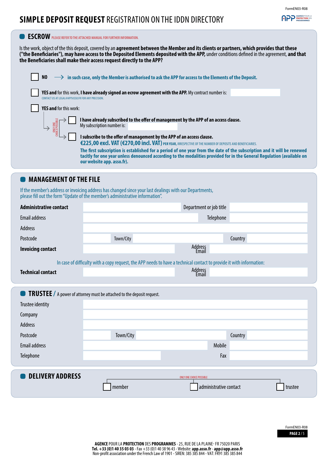## APP **AGENCE POUR LA**

## **SIMPLE DEPOSIT REQUEST** REGISTRATION ON THE IDDN DIRECTORY



## **MANAGEMENT OF THE FILE**

If the member's address or invoicing address has changed since your last dealings with our Departments, please fill out the form "Update of the member's administrative information".

| <b>Administrative contact</b>                                                 |           | Department or job title                                                                                              |         |  |  |
|-------------------------------------------------------------------------------|-----------|----------------------------------------------------------------------------------------------------------------------|---------|--|--|
| <b>Email address</b>                                                          |           | Telephone                                                                                                            |         |  |  |
| Address                                                                       |           |                                                                                                                      |         |  |  |
| Postcode                                                                      | Town/City | Country                                                                                                              |         |  |  |
| <b>Invoicing contact</b>                                                      |           | Address<br>Email                                                                                                     |         |  |  |
|                                                                               |           | In case of difficulty with a copy request, the APP needs to have a technical contact to provide it with information: |         |  |  |
| <b>Technical contact</b>                                                      |           | Address<br>Email                                                                                                     |         |  |  |
|                                                                               |           |                                                                                                                      |         |  |  |
| <b>TRUSTEE</b> / A power of attorney must be attached to the deposit request. |           |                                                                                                                      |         |  |  |
| Trustee identity                                                              |           |                                                                                                                      |         |  |  |
| Company                                                                       |           |                                                                                                                      |         |  |  |
| Address                                                                       |           |                                                                                                                      |         |  |  |
| Postcode                                                                      | Town/City | Country                                                                                                              |         |  |  |
| <b>Email address</b>                                                          |           | Mobile                                                                                                               |         |  |  |
| Telephone                                                                     |           | Fax                                                                                                                  |         |  |  |
|                                                                               |           |                                                                                                                      |         |  |  |
| <b>DELIVERY ADDRESS</b>                                                       |           | <b>ONLY ONE CHOICE POSSIBLE</b>                                                                                      |         |  |  |
|                                                                               | member    | administrative contact                                                                                               | trustee |  |  |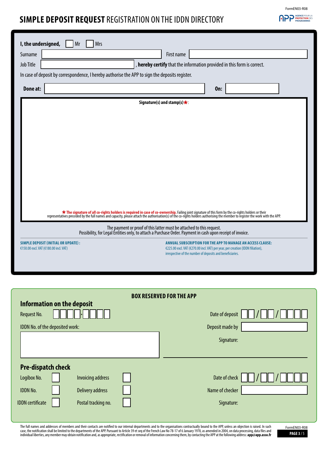## **SIMPLE DEPOSIT REQUEST** REGISTRATION ON THE IDDN DIRECTORY

| I, the undersigned,<br>Mr<br>Mrs                                                                                                                                                                                                   |                                                                                     |                                                                                                 |  |                                                                                                                                                                                                            |     |  |  |
|------------------------------------------------------------------------------------------------------------------------------------------------------------------------------------------------------------------------------------|-------------------------------------------------------------------------------------|-------------------------------------------------------------------------------------------------|--|------------------------------------------------------------------------------------------------------------------------------------------------------------------------------------------------------------|-----|--|--|
| Surname                                                                                                                                                                                                                            | First name                                                                          |                                                                                                 |  |                                                                                                                                                                                                            |     |  |  |
| <b>Job Title</b>                                                                                                                                                                                                                   |                                                                                     |                                                                                                 |  | , hereby certify that the information provided in this form is correct.                                                                                                                                    |     |  |  |
|                                                                                                                                                                                                                                    |                                                                                     | In case of deposit by correspondence, I hereby authorise the APP to sign the deposits register. |  |                                                                                                                                                                                                            |     |  |  |
| Done at:                                                                                                                                                                                                                           |                                                                                     |                                                                                                 |  |                                                                                                                                                                                                            | On: |  |  |
|                                                                                                                                                                                                                                    |                                                                                     |                                                                                                 |  | Signature(s) and stamp(s) $\star$ :                                                                                                                                                                        |     |  |  |
|                                                                                                                                                                                                                                    |                                                                                     |                                                                                                 |  |                                                                                                                                                                                                            |     |  |  |
|                                                                                                                                                                                                                                    |                                                                                     |                                                                                                 |  |                                                                                                                                                                                                            |     |  |  |
|                                                                                                                                                                                                                                    |                                                                                     |                                                                                                 |  |                                                                                                                                                                                                            |     |  |  |
|                                                                                                                                                                                                                                    |                                                                                     |                                                                                                 |  |                                                                                                                                                                                                            |     |  |  |
|                                                                                                                                                                                                                                    |                                                                                     |                                                                                                 |  |                                                                                                                                                                                                            |     |  |  |
|                                                                                                                                                                                                                                    |                                                                                     |                                                                                                 |  |                                                                                                                                                                                                            |     |  |  |
|                                                                                                                                                                                                                                    |                                                                                     |                                                                                                 |  |                                                                                                                                                                                                            |     |  |  |
|                                                                                                                                                                                                                                    |                                                                                     |                                                                                                 |  |                                                                                                                                                                                                            |     |  |  |
|                                                                                                                                                                                                                                    |                                                                                     |                                                                                                 |  |                                                                                                                                                                                                            |     |  |  |
|                                                                                                                                                                                                                                    |                                                                                     |                                                                                                 |  |                                                                                                                                                                                                            |     |  |  |
| <b>*</b> The signature of all co-rights holders is required in case of co-ownership. Failing joint signature of this form by the co-rights holders or their representatives preceded by the full names and capacity, please attach |                                                                                     |                                                                                                 |  |                                                                                                                                                                                                            |     |  |  |
| The payment or proof of this latter must be attached to this request.<br>Possibility, for Legal Entities only, to attach a Purchase Order. Payment in cash upon receipt of invoice.                                                |                                                                                     |                                                                                                 |  |                                                                                                                                                                                                            |     |  |  |
|                                                                                                                                                                                                                                    | <b>SIMPLE DEPOSIT (INITIAL OR UPDATE):</b><br>€150.00 excl. VAT (€180.00 incl. VAT) |                                                                                                 |  | ANNUAL SUBSCRIPTION FOR THE APP TO MANAGE AN ACCESS CLAUSE:<br>€225.00 excl. VAT (€270.00 incl. VAT) per year, per creation (IDDN filiation),<br>irrespective of the number of deposits and beneficiaries. |     |  |  |
|                                                                                                                                                                                                                                    |                                                                                     |                                                                                                 |  |                                                                                                                                                                                                            |     |  |  |
|                                                                                                                                                                                                                                    |                                                                                     |                                                                                                 |  |                                                                                                                                                                                                            |     |  |  |
|                                                                                                                                                                                                                                    |                                                                                     |                                                                                                 |  |                                                                                                                                                                                                            |     |  |  |
| <b>BOX RESERVED FOR THE APP</b>                                                                                                                                                                                                    |                                                                                     |                                                                                                 |  |                                                                                                                                                                                                            |     |  |  |

| <b>Request No.</b>              | <b>Information on the deposit</b> |  | Date of deposit |  |
|---------------------------------|-----------------------------------|--|-----------------|--|
| IDDN No. of the deposited work: |                                   |  | Deposit made by |  |
|                                 |                                   |  | Signature:      |  |
| <b>Pre-dispatch check</b>       |                                   |  |                 |  |
| Logibox No.                     | <b>Invoicing address</b>          |  | Date of check   |  |
| <b>IDDN No.</b>                 | <b>Delivery address</b>           |  | Name of checker |  |
| <b>IDDN</b> certificate         | Postal tracking no.               |  | Signature:      |  |

The full names and addresses of members and their contacts are notified to our internal departments and to the organisations contractually bound to the APP, unless an objection is raised. In such<br>case, the notification sha

**PAGE 3** / 5 FormEN03-R08

FormEN03-R08

**APP PROTECTION DES**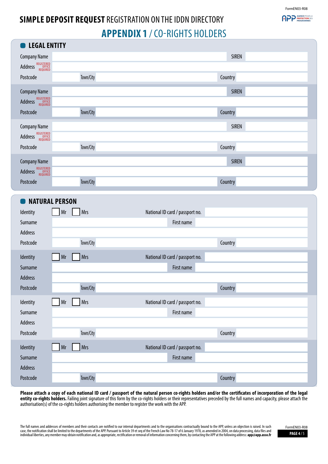FormEN03-R08

**PP PROTECTION DES**<br>PROTECTION DES

# <span id="page-4-0"></span>**SIMPLE DEPOSIT REQUEST** REGISTRATION ON THE IDDN DIRECTORY **APPENDIX 1** / CO-RIGHTS HOLDERS

| <b>LEGAL ENTITY</b>                                      |                  |                                 |              |
|----------------------------------------------------------|------------------|---------------------------------|--------------|
| <b>Company Name</b>                                      |                  |                                 | <b>SIREN</b> |
| REGISTERED<br>OFFICE<br>REQUIRED<br>Address <sup>'</sup> |                  |                                 |              |
| Postcode                                                 | Town/City        |                                 | Country      |
| <b>Company Name</b>                                      |                  |                                 | <b>SIREN</b> |
| REGISTERED<br>OFFICE<br>REQUIRED<br>Address              |                  |                                 |              |
| Postcode                                                 | Town/City        |                                 | Country      |
| <b>Company Name</b>                                      |                  |                                 | <b>SIREN</b> |
| Address REGISTERED                                       |                  |                                 |              |
| Postcode                                                 | Town/City        |                                 | Country      |
| <b>Company Name</b>                                      |                  |                                 | <b>SIREN</b> |
| REGISTERED<br>OFFICE<br>REQUIRED<br>Address              |                  |                                 |              |
| Postcode                                                 | Town/City        |                                 | Country      |
| <b>NATURAL PERSON</b>                                    |                  |                                 |              |
| Identity                                                 | <b>Mrs</b><br>Mr | National ID card / passport no. |              |
| Surname                                                  |                  | First name                      |              |
| Address                                                  |                  |                                 |              |
| Postcode                                                 | Town/City        |                                 | Country      |
| Identity                                                 | Mrs<br>Mr        | National ID card / passport no. |              |
| Surname                                                  |                  | First name                      |              |
| Address                                                  |                  |                                 |              |
| Postcode                                                 | Town/City        |                                 | Country      |
| Identity                                                 | Mrs<br>Mr        | National ID card / passport no. |              |
| Surname                                                  |                  | First name                      |              |
| Address                                                  |                  |                                 |              |
| Postcode                                                 | Town/City        |                                 | Country      |
| Identity                                                 | Mrs<br>Mr        | National ID card / passport no. |              |
| Surname                                                  |                  | First name                      |              |
| Address                                                  |                  |                                 |              |
| Postcode                                                 | Town/City        |                                 | Country      |

**Please attach a copy of each national ID card / passport of the natural person co-rights holders and/or the certificates of incorporation of the legal entity co-rights holders.** Failing joint signature of this form by the co-rights holders or their representatives preceded by the full names and capacity, please attach the authorisation(s) of the co-rights holders authorising the member to register the work with the APP.

The full names and addresses of members and their contacts are notified to our internal departments and to the organisations contractually bound to the APP, unless an objection is raised. In such case, the notification shall be limited to the departments of the APP. Pursuant to Article 39 et seq of the French Law No 78-17 of 6 January 1978, as amended in 2004, on data processing, data files and **PAGE 47 5 and the S** 

FormEN03-R08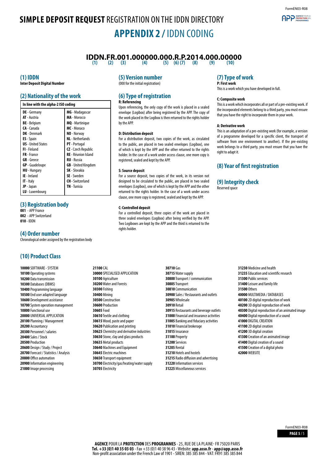# <span id="page-5-0"></span>**SIMPLE DEPOSIT REQUEST** REGISTRATION ON THE IDDN DIRECTORY **APPENDIX 2 /** IDDN CODING





# **IDDN.FR.001.000000.000.R.P.2014.000.00000**<br>(1) (2) (3) (4) (5) (6)(7) (8) (9) (9) (10)

**(1) (2) (3) (4) (5) (6) (7) (8) (9) (10)**

#### **(1) IDDN**

**Inter Deposit Digital Number**

## **(2) Nationality of the work**

| In line with the alpha-2 ISO coding |                            |  |  |
|-------------------------------------|----------------------------|--|--|
| DE - Germany                        | MG - Madagascar            |  |  |
| <b>AT</b> - Austria                 | <b>MA</b> - Morocco        |  |  |
| <b>BE</b> - Belgium                 | MQ - Martinique            |  |  |
| CA - Canada                         | MC - Monaco                |  |  |
| <b>DK</b> - Denmark                 | NO - Norway                |  |  |
| <b>ES</b> - Spain                   | <b>NL</b> - Netherlands    |  |  |
| <b>US</b> - United States           | <b>PT</b> - Portugal       |  |  |
| <b>FI</b> - Finland                 | <b>CZ</b> - Czech Republic |  |  |
| <b>FR</b> - France                  | <b>RE</b> - Réunion Island |  |  |
| <b>GR</b> - Greece                  | <b>RU</b> - Russia         |  |  |
| <b>GP</b> - Guadeloupe              | <b>GB</b> - United Kingdom |  |  |
| <b>HU</b> - Hungary                 | <b>SK</b> - Slovakia       |  |  |
| <b>IE</b> - Ireland                 | <b>SE</b> - Sweden         |  |  |
| <b>IT</b> - Italy                   | <b>CH</b> - Switzerland    |  |  |
| <b>JP</b> - Japan                   | <b>TN</b> - Tunisia        |  |  |
| LU - Luxembourg                     |                            |  |  |

### **(3) Registration body**

**001** - APP France

**002** - APP Switzerland **010** - IDDN

#### **(4) Order number**

Chronological order assigned by the registration body

### **(10) Product Class**

 SOFTWARE - SYSTEM Operating systems Data transmission Databases (DBMS) Programming language End user adapted language Development assistance System operation management Functional use UNIVERSAL APPLICATION Planning / Management Accountancy Personnel / salaries Sales / Stock Production Design / Study / Project Forecast / Statistics / Analysis Office automation Information engineering Image processing

### **(5) Version number**

(000 for the initial registration)

#### **(6) Type of registration R: Referencing**

Upon referencing, the only copy of the work is placed in a sealed envelope (Logibox) after being registered by the APP. The copy of the work placed in the Logibox is then returned to the rights holder by the APP.

#### **D: Distribution deposit**

For a distribution deposit, two copies of the work, as circulated to the public, are placed in two sealed envelopes (Logibox), one of which is kept by the APP and the other returned to the rights holder. In the case of a work under access clause, one more copy is registered, sealed and kept by the APP.

#### **S: Source deposit**

For a source deposit, two copies of the work, in its version not designed to be circulated to the public, are placed in two sealed envelopes (Logibox), one of which is kept by the APP and the other returned to the rights holder. In the case of a work under access clause, one more copy is registered, sealed and kept by the APP.

#### **C: Controlled deposit**

For a controlled deposit, three copies of the work are placed in three sealed envelopes (Logibox) after being verified by the APP. Two Logiboxes are kept by the APP and the third is returned to the rights holder.

**21100** CAL SPECIALISED APPLICATION Agriculture Water and Forests **30300** Fishing **30400** Mining Construction Production **30605** Food Textile and clothing Wood, paste and paper Publication and printing Chemistry and derivative industries Stone, clay and glass products Metal products Machines and Equipment Electric machines Transport equipment Electricity/gas/heating/water supply Electricity

**30710** Gas Water supply Transport / communication Transport Communication Sales / Restaurants and outlets Wholesale **30910** Retail Restaurants and beverage outlets Financial and insurance activities Banking and fiduciary activities Financial brokerage Insurance **31100** Property **31200** Services **31205** Rental Hotels and hostels Radio diffusion and advertising Information services Miscellaneous services

## **(7) Type of work**

**P: First work** This is a work which you have developed in full.

#### **C: Composite work**

This is a work which incorporates all or part of a pre-existing work. if the incorporated elements belong to a third party, you must ensure that you have the right to incorporate them in your work.

#### **A: Derivative work**

This is an adaptation of a pre-existing work (for example, a version of a programme developed for a specific client, the transport of software from one environment to another). If the pre-existing work belongs to a third party, you must ensure that you have the right to adapt it.

### **(8) Year of first registration**

### **(9) Integrity check**

Reserved space

 Medicine and health Education and scientific research Public services Leisure and family life **31500** Others MULTIMEDIA / DATABASES 2D digital reproduction of work 3D digital reproduction of work Digital reproduction of an animated image Digital reproduction of a sound DIGITAL CREATION 2D digital creation 3D digital creation Creation of an animated image Digital creation of a sound Creation of a digital photo **42000** WEBSITE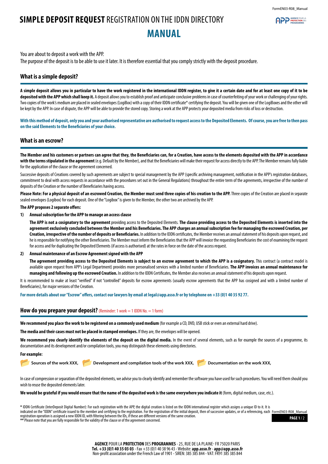**APP PROTECTION** 

# <span id="page-6-0"></span>**SIMPLE DEPOSIT REQUEST** REGISTRATION ON THE IDDN DIRECTORY **MANUAL**

You are about to deposit a work with the APP. The purpose of the deposit is to be able to use it later. It is therefore essential that you comply strictly with the deposit procedure.

#### **What is a simple deposit?**

**A simple deposit allows you in particular to have the work registered in the international IDDN register, to give it a certain date and for at least one copy of it to be deposited with the APP which shall keep it.** A deposit allows you to establish proof and anticipate conclusive problems in case of counterfeiting of your work or challenging of your rights. Two copies of the work's medium are placed in sealed envelopes (LogiBox) with a copy of their IDDN certificate\* certifying the deposit. You will be given one of the LogiBoxes and the other will be kept by the APP. In case of dispute, the APP will be able to provide the stored copy. Storing a work at the APP protects your deposited media from risks of loss or destruction.

**With this method of deposit, only you and your authorised representative are authorised to request access to the Deposited Elements. Of course, you are free to then pass on the said Elements to the Beneficiaries of your choice.**

### **What is an escrow?**

**The Member and his customers or partners can agree that they, the Beneficiaries can, for a Creation, have access to the elements deposited with the APP in accordance with the terms stipulated in the agreement** (e.g. Default by the Member), and that the Beneficiaries will make their request for access directly to the APP. The Member remains fully liable for the application of the clause or the agreement concerned.

Successive deposits of Creations covered by such agreements are subject to special management by the APP (specific archiving management, notification in the APP's registration databases, commitment to deal with access requests in accordance with the procedures set out in the General Regulations) throughout the entire term of the agreements, irrespective of the number of deposits of the Creation or the number of Beneficiaries having access.

Please Note: For a physical deposit of an escrowed Creation, the Member must send three copies of his creation to the APP. Three copies of the Creation are placed in separate sealed envelopes (Logibox) for each deposit. One of the "Logibox" is given to the Member, the other two are archived by the APP.

#### **The APP proposes 2 separate offers:**

#### **1) Annual subscription for the APP to manage an access clause**

**The APP is not a cosignatory to the agreement** providing access to the Deposited Elements. **The clause providing access to the Deposited Elements is inserted into the agreement exclusively concluded between the Member and his Beneficiaries. The APP charges an annual subscription fee for managing the escrowed Creation, per Creation, irrespective of the number of deposits or Beneficiaries.** In addition to the IDDN certificates, the Member receives an annual statement of his deposits upon request, and he is responsible for notifying the other Beneficiaries. The Member must inform the Beneficiaries that the APP will invoice the requesting Beneficiaries the cost of examining the request for access and for duplicating the Deposited Elements (if access is authorised) at the rates in force on the date of the access request.

#### **2) Annual maintenance of an Escrow Agreement signed with the APP**

The agreement providing access to the Deposited Elements is subject to an escrow agreement to which the APP is a cosignatory. This contract (a contract model is available upon request from APP's Legal Department) provides more personalised services with a limited number of Beneficiaries. **The APP invoices an annual maintenance for managing and following up the escrowed Creation.** In addition to the IDDN Certificates, the Member also receives an annual statement of his deposits upon request.

It is recommended to make at least "verified" if not "controlled" deposits for escrow agreements (usually escrow agreements that the APP has cosigned and with a limited number of Beneficiaries), for major versions of the Creation.

**For more details about our "Escrow" offers, contact our lawyers by email at legal@app.asso.fr or by telephone on +33 (0)1 40 35 92 77.**

#### **How do you prepare your deposit?** (Reminder: 1 work = 1 IDDN No. = 1 form)

**We recommend you place the work to be registered on a commonly used medium** (for example a CD, DVD, USB stick or even an external hard drive).

**The media and their cases must not be placed in stamped envelopes.** If they are, the envelopes will be opened.

We recommend you clearly identify the elements of the deposit on the digital media. In the event of several elements, such as for example the sources of a programme, its documentation and its development and/or compilation tools, you may distinguish these elements using directories.

#### **For example:**

Sources of the work XXX, **Development and compilation tools of the work XXX, Developmentation on the work XXX,** 

In case of compression or separation of the deposited elements, we advise you to clearly identify and remember the software you have used for such procedures. You will need them should you wish to reuse the deposited elements later.

**We would be grateful if you would ensure that the name of the deposited work is the same everywhere you indicate it** (form, digital medium, case, etc.).

**\*** IDDN Certificate (InterDeposit Digital Number): For each registration with the APP, the digital creation is listed on the IDDN international register which assigns a unique ID to it. It is indicated on the "IDDN" certificate issued to the member and certifying to the registration. For the registration of the initial deposit, then of successive updates, or of a referencing, each FormEN03-R08\_Manualregistration operation is assigned a new IDDN ID, with filtering between the IDs, if these are different versions of the same creation. **\*\*** Please note that you are fully responsible for the validity of the clause or of the agreement concerned.

**PAGE 1** / 2